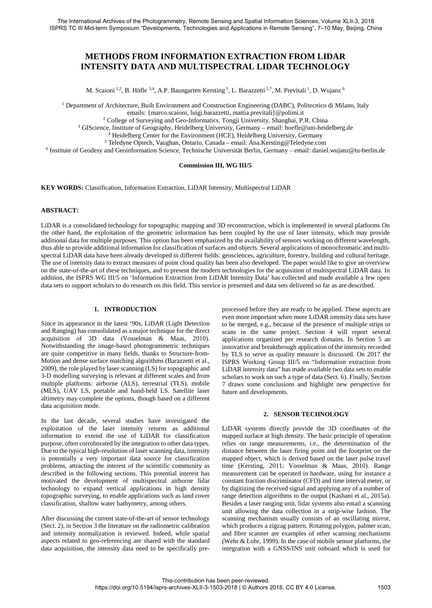# **METHODS FROM INFORMATION EXTRACTION FROM LIDAR INTENSITY DATA AND MULTISPECTRAL LIDAR TECHNOLOGY**

M. Scaioni <sup>1,2</sup>, B. Höfle <sup>3,4</sup>, A.P. Baungarten Kersting <sup>5</sup>, L. Barazzetti <sup>1,\*</sup>, M. Previtali <sup>1</sup>, D. Wujanz <sup>6</sup>

<sup>1</sup> Department of Architecture, Built Environment and Construction Engineering (DABC), Politecnico di Milano, Italy

emails: {marco.scaioni, luigi.barazzetti, mattia.previtali}@polimi.it

<sup>2</sup> College of Surveying and Geo-Informatics, Tongji University, Shanghai, P.R. China

<sup>3</sup> GIScience, Institute of Geography, Heidelberg University, Germany – email: hoefle@uni-heidelberg.de

<sup>4</sup> Heidelberg Center for the Environment (HCE), Heidelberg University, Germany

<sup>5</sup> Teledyne Optech, Vaughan, Ontario, Canada – email: Ana.Kersting@Teledyne.com

<sup>6</sup> Institute of Geodesy and Geoinformation Science, Technische Universität Berlin, Germany – email: daniel.wujanz@tu-berlin.de

#### **Commission III, WG III/5**

**KEY WORDS:** Classification, Information Extraction, LiDAR Intensity, Multispectral LiDAR

#### **ABSTRACT:**

LiDAR is a consolidated technology for topographic mapping and 3D reconstruction, which is implemented in several platforms On the other hand, the exploitation of the geometric information has been coupled by the use of laser intensity, which may provide additional data for multiple purposes. This option has been emphasized by the availability of sensors working on different wavelength, thus able to provide additional information for classification of surfaces and objects. Several applications of monochromatic and multispectral LiDAR data have been already developed in different fields: geosciences, agriculture, forestry, building and cultural heritage. The use of intensity data to extract measures of point cloud quality has been also developed. The paper would like to give an overview on the state-of-the-art of these techniques, and to present the modern technologies for the acquisition of multispectral LiDAR data. In addition, the ISPRS WG III/5 on 'Information Extraction from LiDAR Intensity Data' has collected and made available a few open data sets to support scholars to do research on this field. This service is presented and data sets delivered so far as are described.

#### **1. INTRODUCTION**

Since its appearance in the latest '90s, LiDAR (Light Detection and Ranging) has consolidated as a major technique for the direct acquisition of 3D data (Vosselman & Maas, 2010). Notwithstanding the image-based photogrammetric techniques are quite competitive in many fields, thanks to Structure-from-Motion and dense surface matching algorithms (Barazzetti et al., 2009), the role played by laser scanning (LS) for topographic and 3-D modelling surveying is relevant at different scales and from multiple platforms: airborne (ALS), terrestrial (TLS), mobile (MLS), UAV LS, portable and hand-held LS. Satellite laser altimetry may complete the options, though based on a different data acquisition mode.

In the last decade, several studies have investigated the exploitation of the laser intensity returns as additional information to extend the use of LiDAR for classification purpose, often corroborated by the integration to other data types. Due to the typical high-resolution of laser scanning data, intensity is potentially a very important data source for classification problems, attracting the interest of the scientific community as described in the following sections. This potential interest has motivated the development of multispectral airborne lidar technology to expand vertical applications in high density topographic surveying, to enable applications such as land cover classification, shallow water bathymetry, among others.

After discussing the current state-of-the-art of sensor technology (Sect. 2), in Section 3 the literature on the radiometric calibration and intensity normalization is reviewed. Indeed, while spatial aspects related to geo-referencing are shared with the standard data acquisition, the intensity data need to be specifically preprocessed before they are ready to be applied. These aspects are even more important when more LiDAR intensity data sets have to be merged, e.g., because of the presence of multiple strips or scans in the same project. Section 4 will report several applications organized per research domains. In Section 5 an innovative and breakthrough application of the intensity recorded by TLS to serve as quality measure is discussed. On 2017 the ISPRS Working Group III/5 on "Information extraction from LiDAR intensity data" has made available two data sets to enable scholars to work on such a type of data (Sect. 6). Finally, Section 7 draws some conclusions and highlight new perspective for future and developments.

#### **2. SENSOR TECHNOLOGY**

LiDAR systems directly provide the 3D coordinates of the mapped surface at high density. The basic principle of operation relies on range measurements, i.e., the determination of the distance between the laser firing point and the footprint on the mapped object, which is derived based on the laser pulse travel time (Kersting, 2011; Vosselman & Maas, 2010). Range measurement can be operated in hardware, using for instance a constant fraction discriminator (CFD) and time interval meter, or by digitizing the received signal and applying any of a number of range detection algorithms to the output (Kashani et al., 2015a). Besides a laser ranging unit, lidar systems also entail a scanning unit allowing the data collection in a strip-wise fashion. The scanning mechanism usually consists of an oscillating mirror, which produces a zigzag pattern. Rotating polygon, palmer scan, and fibre scanner are examples of other scanning mechanisms (Wehr & Lohr, 1999). In the case of mobile sensor platforms, the integration with a GNSS/INS unit onboard which is used for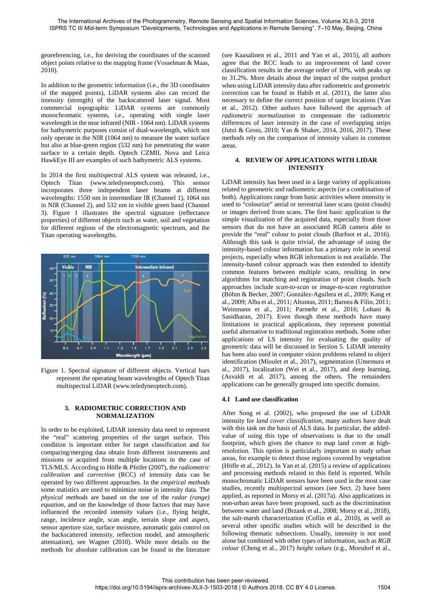georeferencing, i.e., for deriving the coordinates of the scanned object points relative to the mapping frame (Vosselman & Maas, 2010).

In addition to the geometric information (i.e., the 3D coordinates of the mapped points), LiDAR systems also can record the intensity (strength) of the backscattered laser signal. Most commercial topographic LiDAR systems are commonly monochromatic systems, i.e., operating with single laser wavelength in the near infrared (NIR - 1064 nm). LiDAR systems for bathymetric purposes consist of dual-wavelength, which not only operate in the NIR (1064 nm) to measure the water surface but also at blue-green region (532 nm) for penetrating the water surface to a certain depth. Optech CZMIL Nova and Leica HawkEye III are examples of such bathymetric ALS systems.

In 2014 the first multispectral ALS system was released, i.e., Optech Titan (www.teledyneoptech.com). This sensor incorporates three independent laser beams at different wavelengths: 1550 nm in intermediate IR (Channel 1), 1064 nm in NIR (Channel 2), and 532 nm in visible green band (Channel 3). Figure 1 illustrates the spectral signature (reflectance properties) of different objects such as water, soil and vegetation for different regions of the electromagnetic spectrum, and the Titan operating wavelengths.



Figure 1. Spectral signature of different objects. Vertical bars represent the operating beam wavelengths of Optech Titan multispectral LiDAR (www.teledyneoptech.com).

## **3. RADIOMETRIC CORRECTION AND NORMALIZATION**

In order to be exploited, LiDAR intensity data need to represent the "real" scattering properties of the target surface. This condition is important either for target classification and for comparing/merging data obtain from different instruments and missions or acquired from multiple locations in the case of TLS/MLS. According to Höfle & Pfeifer (2007), the *radiometric calibration* and *correction* (RCC) of intensity data can be operated by two different approaches. In the *empirical methods* some statistics are used to minimize noise in intensity data. The *physical methods* are based on the use of the *radar (range) equation*, and on the knowledge of those factors that may have influenced the recorded intensity values (i.e., flying height, range, incidence angle, scan angle, terrain slope and aspect, sensor aperture size, surface moisture, automatic gain control on the backscattered intensity, reflection model, and atmospheric attenuation), see Wagner (2010). While more details on the methods for absolute calibration can be found in the literature

(see Kaasalinen et al., 2011 and Yan et al., 2015), all authors agree that the RCC leads to an improvement of land cover classification results in the average order of 10%, with peaks up to 31.2%. More details about the impact of the output product when using LiDAR intensity data after radiometric and geometric correction can be found in Habib et al. (2011), the latter also necessary to define the correct position of target locations (Yan et al., 2012). Other authors have followed the approach of *radiometric normalization* to compensate the radiometric differences of laser intensity in the case of overlapping strips (Jutzi & Gross, 2010; Yan & Shaker, 2014, 2016, 2017). These methods rely on the comparison of intensity values in common areas.

#### **4. REVIEW OF APPLICATIONS WITH LIDAR INTENSITY**

LiDAR intensity has been used in a large variety of applications related to geometric and radiometric aspects (or a combination of both). Applications range from basic activities where intensity is used to "colourize" aerial or terrestrial laser scans (point clouds) or images derived from scans. The first basic application is the simple visualization of the acquired data, especially from those sensors that do not have an associated RGB camera able to provide the "real" colour to point clouds (Barfoot et al., 2016). Although this task is quite trivial, the advantage of using the intensity-based colour information has a primary role in several projects, especially when RGB information is not available. The intensity-based colour approach was then extended to identify common features between multiple scans, resulting in new algorithms for matching and registration of point clouds. Such approaches include *scan-to-scan* or *image-to-scan registration* (Böhm & Becker, 2007; González-Aguilera et al., 2009; Kang et al., 2009; Alba et al., 2011; Altuntas, 2011; Barnea & Filin, 2011; Weinmann et al., 2011; Parmehr et al., 2016; Lohani & Sasidharan, 2017). Even though these methods have many limitations in practical applications, they represent potential useful alternative to traditional registration methods. Some other applications of LS intensity for evaluating the quality of geometric data will be discussed in Section 5. LiDAR intensity has been also used in computer vision problems related to object identification (Mioulet et al., 2017), segmentation (Umemura et al., 2017), localization (Wei et al., 2017), and deep learning, (Asvaldi et al. 2017), among the others. The remainders applications can be generally grouped into specific domains.

## **4.1 Land use classification**

After Song et al. (2002), who proposed the use of LiDAR intensity for *land cover classification*, many authors have dealt with this task on the basis of ALS data. In particular, the addedvalue of using this type of observations is due to the small footprint, which gives the chance to map land cover at highresolution. This option is particularly important to study urban areas, for example to detect those regions covered by vegetation (Höfle et al., 2012). In Yan et al. (2015) a review of applications and processing methods related to this field is reported. While monochromatic LiDAR sensors have been used in the most case studies, recently multispectral sensors (see Sect. 2) have been applied, as reported in Morsy et al. (2017a). Also applications in non-urban areas have been proposed, such as the discrimination between water and land (Brzank et al., 2008; Morsy et al., 2018), the salt-marsh characterization (Collin et al., 2010), as well as several other specific studies which will be described in the following thematic subsections. Usually, intensity is not used alone but combined with other types of information, such as *RGB colour* (Cheng et al., 2017) *height values* (e.g., Morsdorf et al.,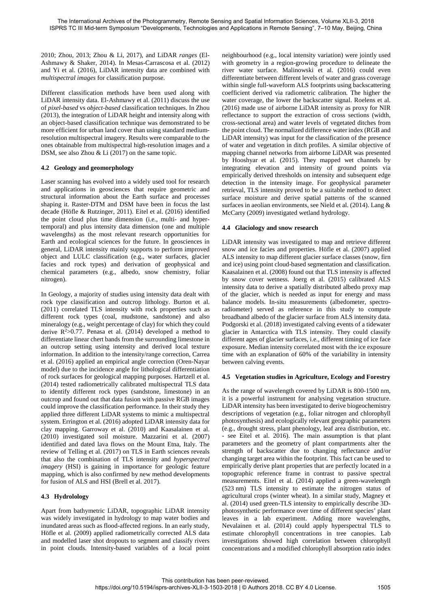2010; Zhou, 2013; Zhou & Li, 2017), and LiDAR *ranges* (El-Ashmawy & Shaker, 2014). In Mesas-Carrascosa et al. (2012) and Yi et al. (2016), LiDAR intensity data are combined with *multispectral images* for classification purpose.

Different classification methods have been used along with LiDAR intensity data. El-Ashmawy et al. (2011) discuss the use of *pixel-based* vs *object-based* classification techniques. In Zhou (2013), the integration of LiDAR height and intensity along with an object-based classification technique was demonstrated to be more efficient for urban land cover than using standard mediumresolution multispectral imagery. Results were comparable to the ones obtainable from multispectral high-resolution images and a DSM, see also Zhou & Li (2017) on the same topic.

## **4.2 Geology and geomorphology**

Laser scanning has evolved into a widely used tool for research and applications in geosciences that require geometric and structural information about the Earth surface and processes shaping it. Raster-DTM and DSM have been in focus the last decade (Höfle & Rutzinger, 2011). Eitel et al. (2016) identified the point cloud plus time dimension (i.e., multi- and hypertemporal) and plus intensity data dimension (one and multiple wavelengths) as the most relevant research opportunities for Earth and ecological sciences for the future. In geosciences in general, LiDAR intensity mainly supports to perform improved object and LULC classification (e.g., water surfaces, glacier facies and rock types) and derivation of geophysical and chemical parameters (e.g., albedo, snow chemistry, foliar nitrogen).

In Geology, a majority of studies using intensity data dealt with rock type classification and outcrop lithology. Burton et al. (2011) correlated TLS intensity with rock properties such as different rock types (coal, mudstone, sandstone) and also mineralogy (e.g., weight percentage of clay) for which they could derive  $R^2 > 0.77$ . Penasa et al. (2014) developed a method to differentiate linear chert bands from the surrounding limestone in an outcrop setting using intensity and derived local texture information. In addition to the intensity/range correction, Carrea et al. (2016) applied an empirical angle correction (Oren-Nayar model) due to the incidence angle for lithological differentiation of rock surfaces for geological mapping purposes. Hartzell et al. (2014) tested radiometrically calibrated multispectral TLS data to identify different rock types (sandstone, limestone) in an outcrop and found out that data fusion with passive RGB images could improve the classification performance. In their study they applied three different LiDAR systems to mimic a multispectral system. Errington et al. (2016) adopted LiDAR intensity data for clay mapping. Garroway et al. (2010) and Kaasalainen et al. (2010) investigated soil moisture. Mazzarini et al. (2007) identified and dated lava flows on the Mount Etna, Italy. The review of Telling et al. (2017) on TLS in Earth sciences reveals that also the combination of TLS intensity and *hyperspectral imagery* (HSI) is gaining in importance for geologic feature mapping, which is also confirmed by new method developments for fusion of ALS and HSI (Brell et al. 2017).

## **4.3 Hydrolology**

Apart from bathymetric LiDAR, topographic LiDAR intensity was widely investigated in hydrology to map water bodies and inundated areas such as flood-affected regions. In an early study, Höfle et al. (2009) applied radiometrically corrected ALS data and modelled laser shot dropouts to segment and classify rivers in point clouds. Intensity-based variables of a local point neighbourhood (e.g., local intensity variation) were jointly used with geometry in a region-growing procedure to delineate the river water surface. Malinowski et al. (2016) could even differentiate between different levels of water and grass coverage within single full-waveform ALS footprints using backscattering coefficient derived via radiometric calibration. The higher the water coverage, the lower the backscatter signal. Roelens et al. (2016) made use of airborne LiDAR intensity as proxy for NIR reflectance to support the extraction of cross sections (width, cross-sectional area) and water levels of vegetated ditches from the point cloud. The normalized difference water index (RGB and LiDAR intensity) was input for the classification of the presence of water and vegetation in ditch profiles. A similar objective of mapping channel networks from airborne LiDAR was presented by Hooshyar et al. (2015). They mapped wet channels by integrating elevation and intensity of ground points via empirically derived thresholds on intensity and subsequent edge detection in the intensity image. For geophysical parameter retrieval, TLS intensity proved to be a suitable method to detect surface moisture and derive spatial patterns of the scanned surfaces in aeolian environments, see Nield et al. (2014). Lang & McCarty (2009) investigated wetland hydrology.

## **4.4 Glaciology and snow research**

LiDAR intensity was investigated to map and retrieve different snow and ice facies and properties. Höfle et al. (2007) applied ALS intensity to map different glacier surface classes (snow, firn and ice) using point cloud-based segmentation and classification. Kaasalainen et al. (2008) found out that TLS intensity is affected by snow cover wetness. Joerg et al. (2015) calibrated ALS intensity data to derive a spatially distributed albedo proxy map of the glacier, which is needed as input for energy and mass balance models. In-situ measurements (albedometer, spectroradiometer) served as reference in this study to compute broadband albedo of the glacier surface from ALS intensity data. Podgorski et al. (2018) investigated calving events of a tidewater glacier in Antarctica with TLS intensity. They could classify different ages of glacier surfaces, i.e., different timing of ice face exposure. Median intensity correlated most with the ice exposure time with an explanation of 60% of the variability in intensity between calving events.

## **4.5 Vegetation studies in Agriculture, Ecology and Forestry**

As the range of wavelength covered by LiDAR is 800-1500 nm, it is a powerful instrument for analysing vegetation structure. LiDAR intensity has been investigated to derive biogeochemistry descriptions of vegetation (e.g., foliar nitrogen and chlorophyll photosynthesis) and ecologically relevant geographic parameters (e.g., drought stress, plant phenology, leaf area distribution, etc. - see Eitel et al. 2016). The main assumption is that plant parameters and the geometry of plant compartments alter the strength of backscatter due to changing reflectance and/or changing target area within the footprint. This fact can be used to empirically derive plant properties that are perfectly located in a topographic reference frame in contrast to passive spectral measurements. Eitel et al. (2014) applied a green-wavelength (523 nm) TLS intensity to estimate the nitrogen status of agricultural crops (winter wheat). In a similar study, Magney et al. (2014) used green-TLS intensity to empirically describe 3Dphotosynthetic performance over time of different species' plant leaves in a lab experiment. Adding more wavelengths, Nevalainen et al. (2014) could apply hyperspectral TLS to estimate chlorophyll concentrations in tree canopies. Lab investigations showed high correlation between chlorophyll concentrations and a modified chlorophyll absorption ratio index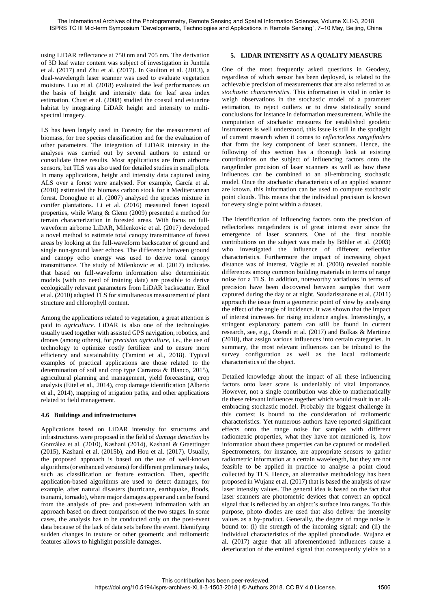using LiDAR reflectance at 750 nm and 705 nm. The derivation of 3D leaf water content was subject of investigation in Junttila et al. (2017) and Zhu et al. (2017). In Gaulton et al. (2013), a dual-wavelength laser scanner was used to evaluate vegetation moisture. Luo et al. (2018) evaluated the leaf performances on the basis of height and intensity data for leaf area index estimation. Chust et al. (2008) studied the coastal and estuarine habitat by integrating LiDAR height and intensity to multispectral imagery.

LS has been largely used in Forestry for the measurement of biomass, for tree species classification and for the evaluation of other parameters. The integration of LiDAR intensity in the analyses was carried out by several authors to extend or consolidate those results. Most applications are from airborne sensors, but TLS was also used for detailed studies in small plots. In many applications, height and intensity data captured using ALS over a forest were analysed. For example, García et al. (2010) estimated the biomass carbon stock for a Mediterranean forest. Donoghue et al. (2007) analysed the species mixture in conifer plantations. Li et al. (2016) measured forest topsoil properties, while Wang & Glenn (2009) presented a method for terrain characterization in forested areas. With focus on fullwaveform airborne LiDAR, Milenkovic et al. (2017) developed a novel method to estimate total canopy transmittance of forest areas by looking at the full-waveform backscatter of ground and single non-ground laser echoes. The difference between ground and canopy echo energy was used to derive total canopy transmittance. The study of Milenkovic et al. (2017) indicates that based on full-waveform information also deterministic models (with no need of training data) are possible to derive ecologically relevant parameters from LiDAR backscatter. Eitel et al. (2010) adopted TLS for simultaneous measurement of plant structure and chlorophyll content.

Among the applications related to vegetation, a great attention is paid to *agriculture*. LiDAR is also one of the technologies usually used together with assisted GPS navigation, robotics, and drones (among others), for *precision agriculture*, i.e., the use of technology to optimize costly fertilizer and to ensure more efficiency and sustainability (Tamirat et al., 2018). Typical examples of practical applications are those related to the determination of soil and crop type Carranza & Blanco, 2015), agricultural planning and management, yield forecasting, crop analysis (Eitel et al., 2014), crop damage identification (Alberto et al., 2014), mapping of irrigation paths, and other applications related to field management.

## **4.6 Buildings and infrastructures**

Applications based on LiDAR intensity for structures and infrastructures were proposed in the field of *damage detection* by González et al. (2010), Kashani (2014), Kashani & Graettinger (2015), Kashani et al. (2015b), and Hou et al. (2017). Usually, the proposed approach is based on the use of well-known algorithms (or enhanced versions) for different preliminary tasks, such as classification or feature extraction. Then, specific application-based algorithms are used to detect damages, for example, after natural disasters (hurricane, earthquake, floods, tsunami, tornado), where major damages appear and can be found from the analysis of pre- and post-event information with an approach based on direct comparison of the two stages. In some cases, the analysis has to be conducted only on the post-event data because of the lack of data sets before the event. Identifying sudden changes in texture or other geometric and radiometric features allows to highlight possible damages.

## **5. LIDAR INTENSITY AS A QUALITY MEASURE**

One of the most frequently asked questions in Geodesy, regardless of which sensor has been deployed, is related to the achievable precision of measurements that are also referred to as *stochastic characteristics*. This information is vital in order to weigh observations in the stochastic model of a parameter estimation, to reject outliers or to draw statistically sound conclusions for instance in deformation measurement. While the computation of stochastic measures for established geodetic instruments is well understood, this issue is still in the spotlight of current research when it comes to *reflectorless rangefinders* that form the key component of laser scanners. Hence, the following of this section has a thorough look at existing contributions on the subject of influencing factors onto the rangefinder precision of laser scanners as well as how these influences can be combined to an all-embracing stochastic model. Once the stochastic characteristics of an applied scanner are known, this information can be used to compute stochastic point clouds. This means that the individual precision is known for every single point within a dataset.

The identification of influencing factors onto the precision of reflectorless rangefinders is of great interest ever since the emergence of laser scanners. One of the first notable contributions on the subject was made by Böhler et al. (2003) who investigated the influence of different reflective characteristics. Furthermore the impact of increasing object distance was of interest. Vögtle et al. (2008) revealed notable differences among common building materials in terms of range noise for a TLS. In addition, noteworthy variations in terms of precision have been discovered between samples that were captured during the day or at night. Soudarissanane et al. (2011) approach the issue from a geometric point of view by analysing the effect of the angle of incidence. It was shown that the impact of interest increases for rising incidence angles. Interestingly, a stringent explanatory pattern can still be found in current research, see, e.g., Ozendi et al. (2017) and Bolkas & Martinez (2018), that assign various influences into certain categories. In summary, the most relevant influences can be tributed to the survey configuration as well as the local radiometric characteristics of the object.

Detailed knowledge about the impact of all these influencing factors onto laser scans is undeniably of vital importance. However, not a single contribution was able to mathematically tie these relevant influences together which would result in an allembracing stochastic model. Probably the biggest challenge in this context is bound to the consideration of radiometric characteristics. Yet numerous authors have reported significant effects onto the range noise for samples with different radiometric properties, what they have not mentioned is, how information about these properties can be captured or modelled. Spectrometers, for instance, are appropriate sensors to gather radiometric information at a certain wavelength, but they are not feasible to be applied in practice to analyse a point cloud collected by TLS. Hence, an alternative methodology has been proposed in Wujanz et al. (2017) that is based the analysis of raw laser intensity values. The general idea is based on the fact that laser scanners are photometric devices that convert an optical signal that is reflected by an object's surface into ranges. To this purpose, photo diodes are used that also deliver the intensity values as a by-product. Generally, the degree of range noise is bound to: (i) the strength of the incoming signal; and (ii) the individual characteristics of the applied photodiode. Wujanz et al. (2017) argue that all aforementioned influences cause a deterioration of the emitted signal that consequently yields to a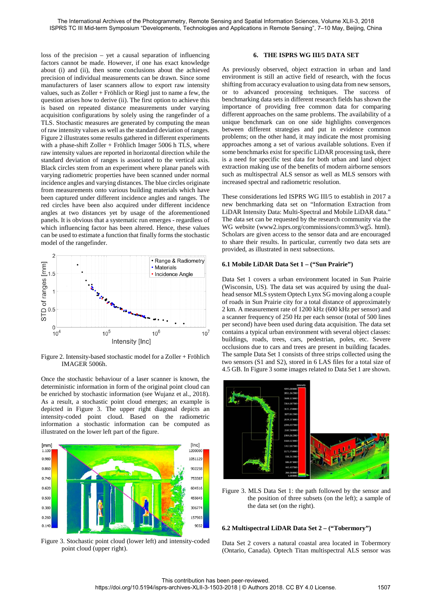loss of the precision – yet a causal separation of influencing factors cannot be made. However, if one has exact knowledge about (i) and (ii), then some conclusions about the achieved precision of individual measurements can be drawn. Since some manufacturers of laser scanners allow to export raw intensity values, such as Zoller + Fröhlich or Riegl just to name a few, the question arises how to derive (ii). The first option to achieve this is based on repeated distance measurements under varying acquisition configurations by solely using the rangefinder of a TLS. Stochastic measures are generated by computing the mean of raw intensity values as well as the standard deviation of ranges. Figure 2 illustrates some results gathered in different experiments with a phase-shift Zoller + Fröhlich Imager 5006 h TLS, where raw intensity values are reported in horizontal direction while the standard deviation of ranges is associated to the vertical axis. Black circles stem from an experiment where planar panels with varying radiometric properties have been scanned under normal incidence angles and varying distances. The blue circles originate from measurements onto various building materials which have been captured under different incidence angles and ranges. The red circles have been also acquired under different incidence angles at two distances yet by usage of the aforementioned panels. It is obvious that a systematic run emerges - regardless of which influencing factor has been altered. Hence, these values can be used to estimate a function that finally forms the stochastic model of the rangefinder.



Figure 2. Intensity-based stochastic model for a Zoller + Fröhlich IMAGER 5006h.

Once the stochastic behaviour of a laser scanner is known, the deterministic information in form of the original point cloud can be enriched by stochastic information (see Wujanz et al., 2018). As a result, a stochastic point cloud emerges; an example is depicted in Figure 3. The upper right diagonal depicts an intensity-coded point cloud. Based on the radiometric information a stochastic information can be computed as illustrated on the lower left part of the figure.



Figure 3. Stochastic point cloud (lower left) and intensity-coded point cloud (upper right).

## **6. THE ISPRS WG III/5 DATA SET**

As previously observed, object extraction in urban and land environment is still an active field of research, with the focus shifting from accuracy evaluation to using data from new sensors, or to advanced processing techniques. The success of benchmarking data sets in different research fields has shown the importance of providing free common data for comparing different approaches on the same problems. The availability of a unique benchmark can on one side highlights convergences between different strategies and put in evidence common problems; on the other hand, it may indicate the most promising approaches among a set of various available solutions. Even if some benchmarks exist for specific LiDAR processing task, there is a need for specific test data for both urban and land object extraction making use of the benefits of modern airborne sensors such as multispectral ALS sensor as well as MLS sensors with increased spectral and radiometric resolution.

These considerations led ISPRS WG III/5 to establish in 2017 a new benchmarking data set on "Information Extraction from LiDAR Intensity Data: Multi-Spectral and Mobile LiDAR data." The data set can be requested by the research community via the WG website (www2.isprs.org/commissions/comm3/wg5. html). Scholars are given access to the sensor data and are encouraged to share their results. In particular, currently two data sets are provided, as illustrated in next subsections.

#### **6.1 Mobile LiDAR Data Set 1 – ("Sun Prairie")**

Data Set 1 covers a urban environment located in Sun Prairie (Wisconsin, US). The data set was acquired by using the dualhead sensor MLS system Optech Lynx SG moving along a couple of roads in Sun Prairie city for a total distance of approximately 2 km. A measurement rate of 1200 kHz (600 kHz per sensor) and a scanner frequency of 250 Hz per each sensor (total of 500 lines per second) have been used during data acquisition. The data set contains a typical urban environment with several object classes: buildings, roads, trees, cars, pedestrian, poles, etc. Severe occlusions due to cars and trees are present in building facades. The sample Data Set 1 consists of three strips collected using the two sensors (S1 and S2), stored in 6 LAS files for a total size of 4.5 GB. In Figure 3 some images related to Data Set 1 are shown.



Figure 3. MLS Data Set 1: the path followed by the sensor and the position of three subsets (on the left); a sample of the data set (on the right).

#### **6.2 Multispectral LiDAR Data Set 2 – ("Tobermory")**

Data Set 2 covers a natural coastal area located in Tobermory (Ontario, Canada). Optech Titan multispectral ALS sensor was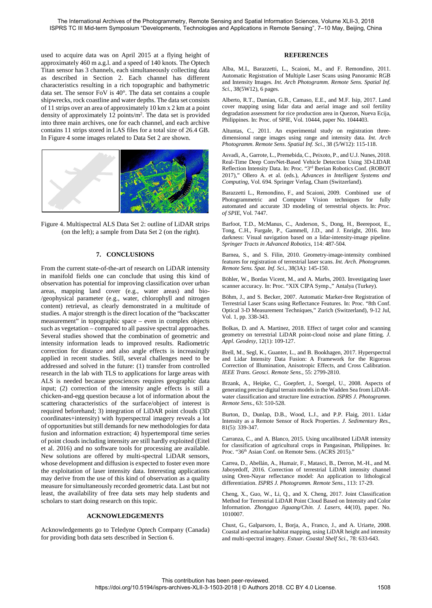used to acquire data was on April 2015 at a flying height of approximately 460 m a.g.l. and a speed of 140 knots. The Optech Titan sensor has 3 channels, each simultaneously collecting data as described in Section 2. Each channel has different characteristics resulting in a rich topographic and bathymetric data set. The sensor FoV is 40°. The data set contains a couple shipwrecks, rock coastline and water depths. The data set consists of 11 strips over an area of approximately 10 km x 2 km at a point density of approximately 12 points/m2. The data set is provided into three main archives, one for each channel, and each archive contains 11 strips stored in LAS files for a total size of 26.4 GB. In Figure 4 some images related to Data Set 2 are shown.





## **7. CONCLUSIONS**

From the current state-of-the-art of research on LiDAR intensity in manifold fields one can conclude that using this kind of observation has potential for improving classification over urban areas, mapping land cover (e.g., water areas) and bio- /geophysical parameter (e.g., water, chlorophyll and nitrogen content) retrieval, as clearly demonstrated in a multitude of studies. A major strength is the direct location of the "backscatter measurement" in topographic space – even in complex objects such as vegetation – compared to all passive spectral approaches. Several studies showed that the combination of geometric and intensity information leads to improved results. Radiometric correction for distance and also angle effects is increasingly applied in recent studies. Still, several challenges need to be addressed and solved in the future: (1) transfer from controlled research in the lab with TLS to applications for large areas with ALS is needed because geosciences requires geographic data input; (2) correction of the intensity angle effects is still a chicken-and-egg question because a lot of information about the scattering characteristics of the surface/object of interest is required beforehand; 3) integration of LiDAR point clouds (3D coordinates+intensity) with hyperspectral imagery reveals a lot of opportunities but still demands for new methodologies for data fusion and information extraction; 4) hypertemporal time series of point clouds including intensity are still hardly exploited (Eitel et al. 2016) and no software tools for processing are available. New solutions are offered by multi-spectral LiDAR sensors, whose development and diffusion is expected to foster even more the exploitation of laser intensity data. Interesting applications may derive from the use of this kind of observation as a quality measure for simultaneously recorded geometric data. Last but not least, the availability of free data sets may help students and scholars to start doing research on this topic.

## **ACKNOWLEDGEMENTS**

Acknowledgements go to Teledyne Optech Company (Canada) for providing both data sets described in Section 6.

## **REFERENCES**

Alba, M.I., Barazzetti, L., Scaioni, M., and F. Remondino, 2011. Automatic Registration of Multiple Laser Scans using Panoramic RGB and Intensity Images. *Int. Arch Photogramm. Remote Sens. Spatial Inf. Sci.*, 38(5W12), 6 pages.

Alberto, R.T., Damian, G.B., Camaso, E.E., and M.F. Isip, 2017. Land cover mapping using lidar data and aerial image and soil fertility degradation assessment for rice production area in Quezon, Nueva Ecija, Philippines. In: Proc. of SPIE, Vol. 10444, paper No. 1044403.

Altuntas, C., 2011. An experimental study on registration threedimensional range images using range and intensity data. *Int. Arch Photogramm. Remote Sens. Spatial Inf. Sci.*, 38 (5/W12): 115-118.

Asvadi, A., Garrote, L., Premebida, C., Peixoto, P., and U.J. Nunes, 2018. Real-Time Deep ConvNet-Based Vehicle Detection Using 3D-LIDAR Reflection Intensity Data. In: Proc. "3rd Iberian Robotics Conf. (ROBOT 2017)," Ollero A. et al. (eds.), *Advances in Intelligent Systems and Computing*, Vol. 694. Springer Verlag, Cham (Switzerland).

Barazzetti L., Remondino, F., and Scaioni, 2009. Combined use of Photogrammetric and Computer Vision techniques for fully automated and accurate 3D modeling of terrestrial objects. In: *Proc. of SPIE*, Vol. 7447.

Barfoot, T.D., McManus, C., Anderson, S., Dong, H., Beerepoot, E., Tong, C.H., Furgale, P., Gammell, J.D., and J. Enright, 2016. Into darkness: Visual navigation based on a lidar-intensity-image pipeline. *Springer Tracts in Advanced Robotics*, 114: 487-504.

Barnea, S., and S. Filin, 2010. Geometry-image-intensity combined features for registration of terrestrial laser scans. *Int. Arch. Photogramm. Remote Sens. Spat. Inf. Sci.*, 38(3A): 145-150.

Böhler, W., Bordas Vicent, M., and A. Marbs, 2003. Investigating laser scanner accuracy. In: Proc. "XIX CIPA Symp.*,*" Antalya (Turkey)*.* 

Böhm, J., and S. Becker, 2007. Automatic Marker-free Registration of Terrestrial Laser Scans using Reflectance Features. In: Proc. "8th Conf. Optical 3-D Measurement Techniques," Zurich (Switzerland), 9-12 Jul, Vol. 1, pp. 338-343.

Bolkas, D. and A. Martinez, 2018. Effect of target color and scanning geometry on terrestrial LiDAR point-cloud noise and plane fitting*. J. Appl. Geodesy*, 12(1): 109-127.

Brell, M., Segl, K., Guanter, L., and B. Bookhagen, 2017. Hyperspectral and Lidar Intensity Data Fusion: A Framework for the Rigorous Correction of Illumination, Anisotropic Effects, and Cross Calibration. *IEEE Trans. Geosci. Remote Sens.*, 55: 2799-2810.

Brzank, A., Heipke, C., Goepfert, J., Soergel, U., 2008. Aspects of generating precise digital terrain models in the Wadden Sea from LiDARwater classification and structure line extraction. *ISPRS J. Photogramm. Remote Sens.*, 63: 510-528.

Burton, D., Dunlap, D.B., Wood, L.J., and P.P. Flaig, 2011. Lidar Intensity as a Remote Sensor of Rock Properties. *J. Sedimentary Res.*, 81(5): 339-347.

Carranza, C., and A. Blanco, 2015. Using uncalibrated LiDAR intensity for classification of agricultural crops in Pangasinan, Philippines. In: Proc. "36<sup>th</sup> Asian Conf. on Remote Sens. (ACRS 2015)."

Carrea, D., Abellán, A., Humair, F., Matasci, B., Derron, M.-H., and M. Jaboyedoff, 2016. Correction of terrestrial LiDAR intensity channel using Oren-Nayar reflectance model: An application to lithological differentiation. *ISPRS J. Photogramm. Remote Sens.*, 113: 17-29.

Cheng, X., Guo, W., Li, Q., and X. Cheng, 2017. Joint Classification Method for Terrestrial LiDAR Point Cloud Based on Intensity and Color Information. *Zhongguo Jiguang/Chin. J. Lasers*, 44(10), paper. No. 1010007.

Chust, G., Galparsoro, I., Borja, A., Franco, J., and A. Uriarte, 2008. Coastal and estuarine habitat mapping, using LiDAR height and intensity and multi-spectral imagery. *Estuar. Coastal Shelf Sci.*, 78: 633-643.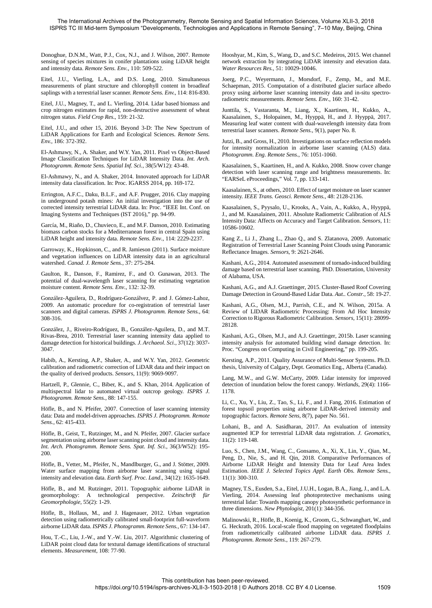Donoghue, D.N.M., Watt, P.J., Cox, N.J., and J. Wilson, 2007. Remote sensing of species mixtures in conifer plantations using LiDAR height and intensity data. *Remote Sens. Env.*, 110: 509-522.

Eitel, J.U., Vierling, L.A., and D.S. Long, 2010. Simultaneous measurements of plant structure and chlorophyll content in broadleaf saplings with a terrestrial laser scanner. *Remote Sens. Env.*, 114: 816-830.

Eitel, J.U., Magney, T., and L. Vierling, 2014. Lidar based biomass and crop nitrogen estimates for rapid, non-destructive assessment of wheat nitrogen status. *Field Crop Res.*, 159: 21-32.

Eitel, J.U., and other 15, 2016. Beyond 3-D: The New Spectrum of LiDAR Applications for Earth and Ecological Sciences. *Remote Sens. Env.*, 186: 372-392.

El-Ashmawy, N., A. Shaker, and W.Y. Yan, 2011. Pixel vs Object-Based Image Classification Techniques for LiDAR Intensity Data. *Int. Arch. Photogramm. Remote Sens. Spatial Inf. Sci.*, 38(5/W12): 43-48.

El-Ashmawy, N., and A. Shaker, 2014. Innovated approach for LiDAR intensity data classification. In: Proc. IGARSS 2014, pp. 169-172.

Errington, A.F.C., Daku, B.L.F., and A.F. Prugger, 2016. Clay mapping in underground potash mines: An initial investigation into the use of corrected intensity terrestrial LiDAR data. In: Proc. "IEEE Int. Conf. on Imaging Systems and Techniques (IST 2016)," pp. 94-99.

García, M., Riaño, D., Chuvieco, E., and M.F. Danson, 2010. Estimating biomass carbon stocks for a Mediterranean forest in central Spain using LiDAR height and intensity data. *Remote Sens. Env.*, 114: 2229-2237.

Garroway, K., Hopkinson, C., and R. Jamieson (2011). Surface moisture and vegetation influences on LiDAR intensity data in an agricultural watershed. *Canad. J. Remote Sens.*, 37: 275-284.

Gaulton, R., Danson, F., Ramirez, F., and O. Gunawan, 2013. The potential of dual-wavelength laser scanning for estimating vegetation moisture content. *Remote Sens. Env.*, 132: 32-39.

González-Aguilera, D., Rodríguez-Gonzálvez, P. and J. Gómez-Lahoz, 2009. An automatic procedure for co-registration of terrestrial laser scanners and digital cameras. *ISPRS J. Photogramm. Remote Sens.*, 64: 308-316.

González, J., Riveiro-Rodríguez, B., González-Aguilera, D., and M.T. Rivas-Brea, 2010. Terrestrial laser scanning intensity data applied to damage detection for historical buildings. *J. Archaeol. Sci.*, 37(12): 3037- 3047.

Habib, A., Kersting, A.P., Shaker, A., and W.Y. Yan, 2012. Geometric calibration and radiometric correction of LiDAR data and their impact on the quality of derived products. *Sensors*, 11(9): 9069-9097.

Hartzell, P., Glennie, C., Biber, K., and S. Khan, 2014. Application of multispectral lidar to automated virtual outcrop geology. *ISPRS J. Photogramm. Remote Sens.*, 88: 147-155.

Höfle, B., and N. Pfeifer, 2007. Correction of laser scanning intensity data: Data and model-driven approaches. *ISPRS J. Photogramm. Remote Sens.*, 62: 415-433.

Höfle, B., Geist, T., Rutzinger, M., and N. Pfeifer, 2007. Glacier surface segmentation using airborne laser scanning point cloud and intensity data. *Int. Arch. Photogramm. Remote Sens. Spat. Inf. Sci.*, 36(3/W52): 195- 200.

Höfle, B., Vetter, M., Pfeifer, N., Mandlburger, G., and J. Stötter, 2009. Water surface mapping from airborne laser scanning using signal intensity and elevation data. *Earth Surf. Proc. Land.*, 34(12): 1635-1649.

Höfle, B., and M. Rutzinger, 2011. Topographic airborne LiDAR in geomorphology: A technological perspective. *Zeitschrift für Geomorphologie*, 55(2): 1-29.

Höfle, B., Hollaus, M., and J. Hagenauer, 2012. Urban vegetation detection using radiometrically calibrated small-footprint full-waveform airborne LiDAR data. *ISPRS J. Photogramm. Remote Sens.*, 67: 134-147.

Hou, T.-C., Liu, J.-W., and Y.-W. Liu, 2017. Algorithmic clustering of LiDAR point cloud data for textural damage identifications of structural elements. *Measurement*, 108: 77-90.

Hooshyar, M., Kim, S., Wang, D., and S.C. Medeiros, 2015. Wet channel network extraction by integrating LiDAR intensity and elevation data. *Water Resources Res.*, 51: 10029-10046.

Joerg, P.C., Weyermann, J., Morsdorf, F., Zemp, M., and M.E. Schaepman, 2015. Computation of a distributed glacier surface albedo proxy using airborne laser scanning intensity data and in-situ spectroradiometric measurements. *Remote Sens. Env.*, 160: 31-42.

Junttila, S., Vastaranta, M., Liang, X., Kaartinen, H., Kukko, A., Kaasalainen, S., Holopainen, M., Hyyppä, H., and J. Hyyppä, 2017. Measuring leaf water content with dual-wavelength intensity data from terrestrial laser scanners. *Remote Sens.*, 9(1), paper No. 8.

Jutzi, B., and Gross, H., 2010. Investigations on surface reflection models for intensity normalization in airborne laser scanning (ALS) data. *Photogramm. Eng. Remote Sens.*, 76: 1051-1060.

Kaasalainen, S., Kaartinen, H., and A. Kukko, 2008. Snow cover change detection with laser scanning range and brightness measurements. In: "EARSeL eProceedings," Vol. 7, pp. 133-141.

Kaasalainen, S., at others, 2010. Effect of target moisture on laser scanner intensity. *IEEE Trans. Geosci. Remote Sens.*, 48: 2128-2136.

Kaasalainen, S., Pyysalo, U., Krooks, A., Vain, A., Kukko, A., Hyyppä, J., and M. Kaasalainen, 2011. Absolute Radiometric Calibration of ALS Intensity Data: Affects on Accuracy and Target Calibration. *Sensors*, 11: 10586-10602.

Kang Z., Li J., Zhang L., Zhao Q., and S. Zlatanova, 2009. Automatic Registration of Terrestrial Laser Scanning Point Clouds using Panoramic Reflectance Images. *Sensors*, 9: 2621-2646.

Kashani, A.G., 2014. Automated assessment of tornado-induced building damage based on terrestrial laser scanning. PhD. Dissertation, University of Alabama, USA.

Kashani, A.G., and A.J. Graettinger, 2015. Cluster-Based Roof Covering Damage Detection in Ground-Based Lidar Data. *Aut.. Constr.*, 58: 19-27.

Kashani, A.G., Olsen, M.J., Parrish, C.E., and N. Wilson, 2015a. A Review of LIDAR Radiometric Processing: From Ad Hoc Intensity Correction to Rigorous Radiometric Calibration. *Sensors*, 15(11): 28099- 28128.

Kashani, A.G., Olsen, M.J., and A.J. Graettinger, 2015b. Laser scanning intensity analysis for automated building wind damage detection. In: Proc. "Congress on Computing in Civil Engineering," pp. 199-205.

Kersting, A.P., 2011. Quality Assurance of Multi-Sensor Systems. Ph.D. thesis, University of Calgary, Dept. Geomatics Eng., Alberta (Canada).

Lang, M.W., and G.W. McCarty, 2009. Lidar intensity for improved detection of inundation below the forest canopy. *Wetlands*, 29(4): 1166- 1178.

Li, C., Xu, Y., Liu, Z., Tao, S., Li, F., and J. Fang, 2016. Estimation of forest topsoil properties using airborne LiDAR-derived intensity and topographic factors. *Remote Sens*, 8(7), paper No. 561.

Lohani, B., and A. Sasidharan, 2017. An evaluation of intensity augmented ICP for terrestrial LiDAR data registration. *J. Geomatics*, 11(2): 119-148.

Luo, S., Chen, J.M., Wang, C., Gonsamo, A., Xi, X., Lin, Y., Qian, M., Peng, D., Nie, S., and H. Qin, 2018. Comparative Performances of Airborne LiDAR Height and Intensity Data for Leaf Area Index Estimation. *IEEE J. Selected Topics Appl. Earth Obs. Remote Sens.*, 11(1): 300-310.

Magney, T.S., Eusden, S.a., Eitel, J.U.H., Logan, B.A., Jiang, J., and L.A. Vierling, 2014. Assessing leaf photoprotective mechanisms using terrestrial lidar: Towards mapping canopy photosynthetic performance in three dimensions. *New Phytologist*, 201(1): 344-356.

Malinowski, R., Höfle, B., Koenig, K., Groom, G., Schwanghart, W., and G. Heckrath, 2016. Local-scale flood mapping on vegetated floodplains from radiometrically calibrated airborne LiDAR data. *ISPRS J. Photogramm. Remote Sens.*, 119: 267-279.